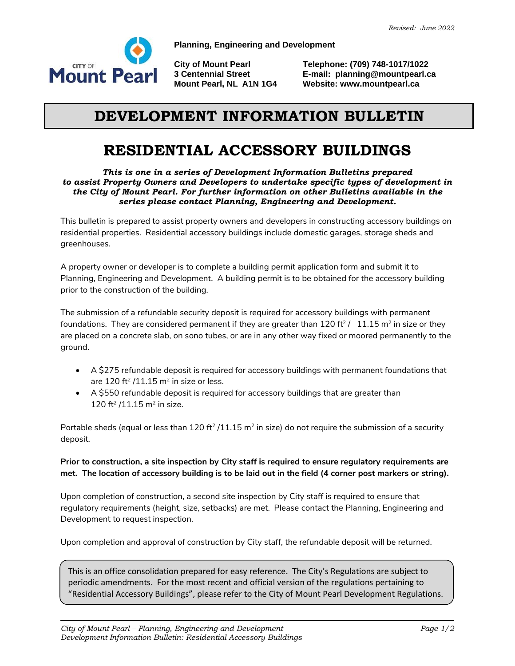

**Planning, Engineering and Development**

**City of Mount Pearl Telephone: (709) 748-1017/1022 3 Centennial Street E-mail: planning@mountpearl.ca Website: www.mountpearl.ca** 

## **DEVELOPMENT INFORMATION BULLETIN**

## **RESIDENTIAL ACCESSORY BUILDINGS**

*This is one in a series of Development Information Bulletins prepared to assist Property Owners and Developers to undertake specific types of development in the City of Mount Pearl. For further information on other Bulletins available in the series please contact Planning, Engineering and Development.*

This bulletin is prepared to assist property owners and developers in constructing accessory buildings on residential properties. Residential accessory buildings include domestic garages, storage sheds and greenhouses.

A property owner or developer is to complete a building permit application form and submit it to Planning, Engineering and Development. A building permit is to be obtained for the accessory building prior to the construction of the building.

The submission of a refundable security deposit is required for accessory buildings with permanent foundations. They are considered permanent if they are greater than 120 ft<sup>2</sup> /  $\,$  11.15 m $^2$  in size or they are placed on a concrete slab, on sono tubes, or are in any other way fixed or moored permanently to the ground.

- A \$275 refundable deposit is required for accessory buildings with permanent foundations that are 120 ft $^2$  /11.15 m $^2$  in size or less.
- A \$550 refundable deposit is required for accessory buildings that are greater than 120 ft<sup>2</sup> /11.15 m<sup>2</sup> in size.

Portable sheds (equal or less than 120 ft<sup>2</sup> /11.15 m<sup>2</sup> in size) do not require the submission of a security deposit.

## **Prior to construction, a site inspection by City staff is required to ensure regulatory requirements are met. The location of accessory building is to be laid out in the field (4 corner post markers or string).**

Upon completion of construction, a second site inspection by City staff is required to ensure that regulatory requirements (height, size, setbacks) are met. Please contact the Planning, Engineering and Development to request inspection.

Upon completion and approval of construction by City staff, the refundable deposit will be returned.

This is an office consolidation prepared for easy reference. The City's Regulations are subject to periodic amendments. For the most recent and official version of the regulations pertaining to "Residential Accessory Buildings", please refer to the City of Mount Pearl Development Regulations.